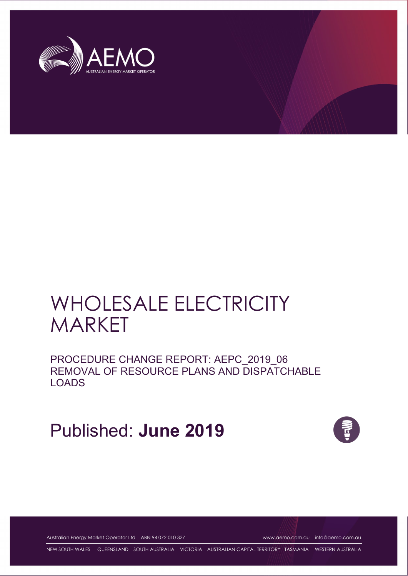

# WHOLESALE ELECTRICITY MARKET

PROCEDURE CHANGE REPORT: AEPC\_2019\_06 REMOVAL OF RESOURCE PLANS AND DISPATCHABLE LOADS

Published: **June 2019**



Australian Energy Market Operator Ltd ABN 94 072 010 327 [www.aemo.com.au](http://www.aemo.com.au/) [info@aemo.com.au](mailto:info@aemo.com.au)

NEW SOUTH WALES QUEENSLAND SOUTH AUSTRALIA VICTORIA AUSTRALIAN CAPITAL TERRITORY TASMANIA WESTERN AUSTRALIA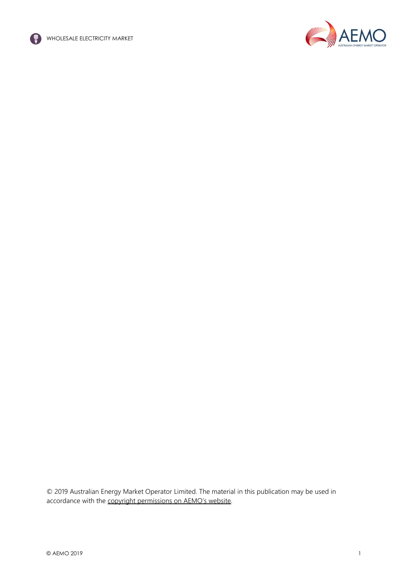



© 2019 Australian Energy Market Operator Limited. The material in this publication may be used in accordance with the [copyright permissions on AEMO's website.](http://aemo.com.au/Privacy_and_Legal_Notices/Copyright_Permissions_Notice)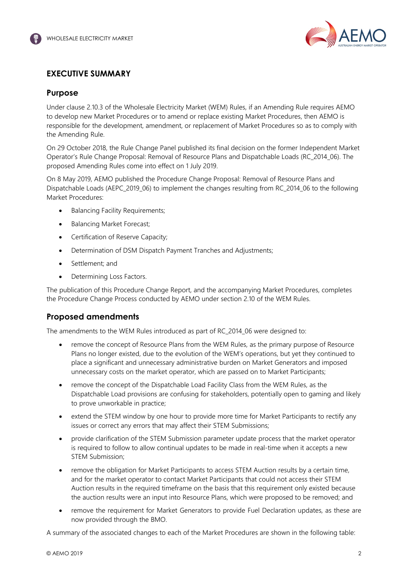

## <span id="page-2-0"></span>**EXECUTIVE SUMMARY**

## **Purpose**

Under clause 2.10.3 of the Wholesale Electricity Market (WEM) Rules, if an Amending Rule requires AEMO to develop new Market Procedures or to amend or replace existing Market Procedures, then AEMO is responsible for the development, amendment, or replacement of Market Procedures so as to comply with the Amending Rule.

On 29 October 2018, the Rule Change Panel published its final decision on the former Independent Market Operator's Rule Change Proposal: Removal of Resource Plans and Dispatchable Loads (RC\_2014\_06). The proposed Amending Rules come into effect on 1 July 2019.

On 8 May 2019, AEMO published the Procedure Change Proposal: Removal of Resource Plans and Dispatchable Loads (AEPC\_2019\_06) to implement the changes resulting from RC\_2014\_06 to the following Market Procedures:

- Balancing Facility Requirements;
- Balancing Market Forecast;
- Certification of Reserve Capacity;
- Determination of DSM Dispatch Payment Tranches and Adjustments;
- Settlement; and
- Determining Loss Factors.

The publication of this Procedure Change Report, and the accompanying Market Procedures, completes the Procedure Change Process conducted by AEMO under section 2.10 of the WEM Rules.

## **Proposed amendments**

The amendments to the WEM Rules introduced as part of RC\_2014\_06 were designed to:

- remove the concept of Resource Plans from the WEM Rules, as the primary purpose of Resource Plans no longer existed, due to the evolution of the WEM's operations, but yet they continued to place a significant and unnecessary administrative burden on Market Generators and imposed unnecessary costs on the market operator, which are passed on to Market Participants;
- remove the concept of the Dispatchable Load Facility Class from the WEM Rules, as the Dispatchable Load provisions are confusing for stakeholders, potentially open to gaming and likely to prove unworkable in practice;
- extend the STEM window by one hour to provide more time for Market Participants to rectify any issues or correct any errors that may affect their STEM Submissions;
- provide clarification of the STEM Submission parameter update process that the market operator is required to follow to allow continual updates to be made in real-time when it accepts a new STEM Submission;
- remove the obligation for Market Participants to access STEM Auction results by a certain time, and for the market operator to contact Market Participants that could not access their STEM Auction results in the required timeframe on the basis that this requirement only existed because the auction results were an input into Resource Plans, which were proposed to be removed; and
- remove the requirement for Market Generators to provide Fuel Declaration updates, as these are now provided through the BMO.

A summary of the associated changes to each of the Market Procedures are shown in the following table: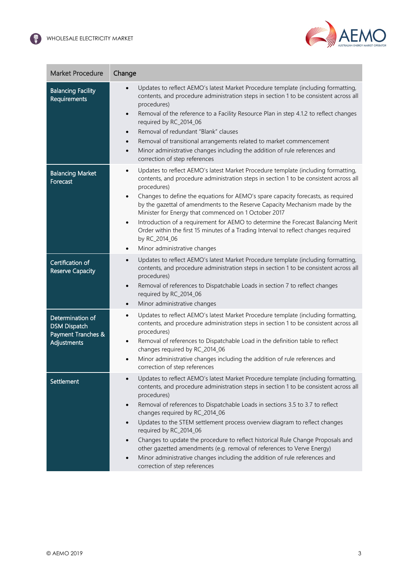

| <b>Market Procedure</b>                                                      | Change                                                                                                                                                                                                                                                                                                                                                                                                                                                                                                                                                                                                                                                                                                                                               |  |
|------------------------------------------------------------------------------|------------------------------------------------------------------------------------------------------------------------------------------------------------------------------------------------------------------------------------------------------------------------------------------------------------------------------------------------------------------------------------------------------------------------------------------------------------------------------------------------------------------------------------------------------------------------------------------------------------------------------------------------------------------------------------------------------------------------------------------------------|--|
| <b>Balancing Facility</b><br>Requirements                                    | Updates to reflect AEMO's latest Market Procedure template (including formatting,<br>$\bullet$<br>contents, and procedure administration steps in section 1 to be consistent across all<br>procedures)<br>Removal of the reference to a Facility Resource Plan in step 4.1.2 to reflect changes<br>$\bullet$<br>required by RC_2014_06<br>Removal of redundant "Blank" clauses<br>$\bullet$<br>Removal of transitional arrangements related to market commencement<br>$\bullet$<br>Minor administrative changes including the addition of rule references and<br>$\bullet$<br>correction of step references                                                                                                                                          |  |
| <b>Balancing Market</b><br>Forecast                                          | Updates to reflect AEMO's latest Market Procedure template (including formatting,<br>$\bullet$<br>contents, and procedure administration steps in section 1 to be consistent across all<br>procedures)<br>Changes to define the equations for AEMO's spare capacity forecasts, as required<br>$\bullet$<br>by the gazettal of amendments to the Reserve Capacity Mechanism made by the<br>Minister for Energy that commenced on 1 October 2017<br>Introduction of a requirement for AEMO to determine the Forecast Balancing Merit<br>$\bullet$<br>Order within the first 15 minutes of a Trading Interval to reflect changes required<br>by RC_2014_06<br>Minor administrative changes<br>$\bullet$                                                 |  |
| Certification of<br><b>Reserve Capacity</b>                                  | Updates to reflect AEMO's latest Market Procedure template (including formatting,<br>$\bullet$<br>contents, and procedure administration steps in section 1 to be consistent across all<br>procedures)<br>Removal of references to Dispatchable Loads in section 7 to reflect changes<br>$\bullet$<br>required by RC_2014_06<br>Minor administrative changes<br>$\bullet$                                                                                                                                                                                                                                                                                                                                                                            |  |
| Determination of<br><b>DSM Dispatch</b><br>Payment Tranches &<br>Adjustments | Updates to reflect AEMO's latest Market Procedure template (including formatting,<br>$\bullet$<br>contents, and procedure administration steps in section 1 to be consistent across all<br>procedures)<br>Removal of references to Dispatchable Load in the definition table to reflect<br>$\bullet$<br>changes required by RC_2014_06<br>Minor administrative changes including the addition of rule references and<br>$\bullet$<br>correction of step references                                                                                                                                                                                                                                                                                   |  |
| Settlement                                                                   | Updates to reflect AEMO's latest Market Procedure template (including formatting,<br>contents, and procedure administration steps in section 1 to be consistent across all<br>procedures)<br>Removal of references to Dispatchable Loads in sections 3.5 to 3.7 to reflect<br>$\bullet$<br>changes required by RC_2014_06<br>Updates to the STEM settlement process overview diagram to reflect changes<br>$\bullet$<br>required by RC_2014_06<br>Changes to update the procedure to reflect historical Rule Change Proposals and<br>$\bullet$<br>other gazetted amendments (e.g. removal of references to Verve Energy)<br>Minor administrative changes including the addition of rule references and<br>$\bullet$<br>correction of step references |  |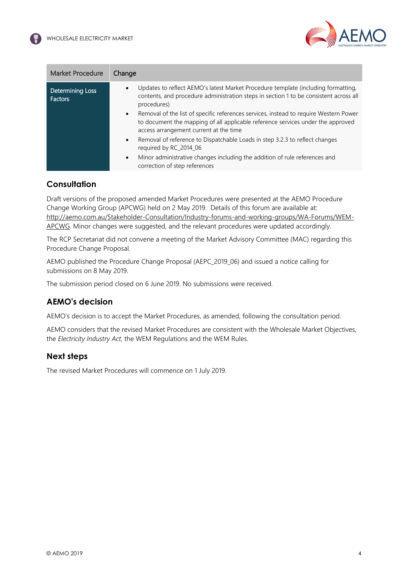

| <b>Market Procedure</b>                   | Change                                                                                                                                                                                                                                                                                                                                                                                                                                    |
|-------------------------------------------|-------------------------------------------------------------------------------------------------------------------------------------------------------------------------------------------------------------------------------------------------------------------------------------------------------------------------------------------------------------------------------------------------------------------------------------------|
| <b>Determining Loss</b><br><b>Factors</b> | Updates to reflect AEMO's latest Market Procedure template (including formatting,<br>$\bullet$<br>contents, and procedure administration steps in section 1 to be consistent across all<br>procedures)<br>Removal of the list of specific references services, instead to require Western Power<br>$\bullet$<br>to document the mapping of all applicable reference services under the approved<br>access arrangement current at the time |
|                                           | Removal of reference to Dispatchable Loads in step 3.2.3 to reflect changes<br>$\bullet$<br>required by RC_2014_06<br>Minor administrative changes including the addition of rule references and<br>$\bullet$<br>correction of step references                                                                                                                                                                                            |
|                                           |                                                                                                                                                                                                                                                                                                                                                                                                                                           |

## **Consultation**

Draft versions of the proposed amended Market Procedures were presented at the AEMO Procedure Change Working Group (APCWG) held on 2 May 2019. Details of this forum are available at: [http://aemo.com.au/Stakeholder-Consultation/Industry-forums-and-working-groups/WA-Forums/WEM-](http://aemo.com.au/Stakeholder-Consultation/Industry-forums-and-working-groups/WA-Forums/WEM-APCWG)[APCWG.](http://aemo.com.au/Stakeholder-Consultation/Industry-forums-and-working-groups/WA-Forums/WEM-APCWG) Minor changes were suggested, and the relevant procedures were updated accordingly.

The RCP Secretariat did not convene a meeting of the Market Advisory Committee (MAC) regarding this Procedure Change Proposal.

AEMO published the Procedure Change Proposal (AEPC\_2019\_06) and issued a notice calling for submissions on 8 May 2019.

The submission period closed on 6 June 2019. No submissions were received.

## **AEMO's decision**

AEMO's decision is to accept the Market Procedures, as amended, following the consultation period.

AEMO considers that the revised Market Procedures are consistent with the Wholesale Market Objectives, the *Electricity Industry Act*, the WEM Regulations and the WEM Rules.

## **Next steps**

The revised Market Procedures will commence on 1 July 2019.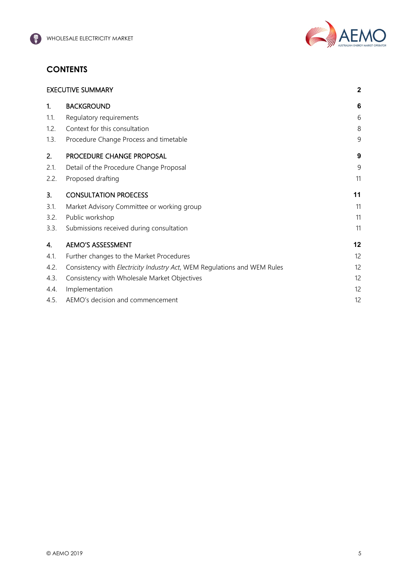

# **CONTENTS**

| <b>EXECUTIVE SUMMARY</b> |                                                                          |    |
|--------------------------|--------------------------------------------------------------------------|----|
| 1.                       | <b>BACKGROUND</b>                                                        | 6  |
| 1.1.                     | Regulatory requirements                                                  | 6  |
| 1.2.                     | Context for this consultation                                            | 8  |
| 1.3.                     | Procedure Change Process and timetable                                   | 9  |
| 2.                       | PROCEDURE CHANGE PROPOSAL                                                | 9  |
| 2.1.                     | Detail of the Procedure Change Proposal                                  | 9  |
| 2.2.                     | Proposed drafting                                                        | 11 |
| 3.                       | <b>CONSULTATION PROECESS</b>                                             | 11 |
| 3.1.                     | Market Advisory Committee or working group                               | 11 |
| 3.2.                     | Public workshop                                                          | 11 |
| 3.3.                     | Submissions received during consultation                                 | 11 |
| 4.                       | <b>AEMO'S ASSESSMENT</b>                                                 | 12 |
| 4.1.                     | Further changes to the Market Procedures                                 | 12 |
| 4.2.                     | Consistency with Electricity Industry Act, WEM Regulations and WEM Rules | 12 |
| 4.3.                     | Consistency with Wholesale Market Objectives                             | 12 |
| 4.4.                     | Implementation                                                           | 12 |
| 4.5.                     | AEMO's decision and commencement                                         | 12 |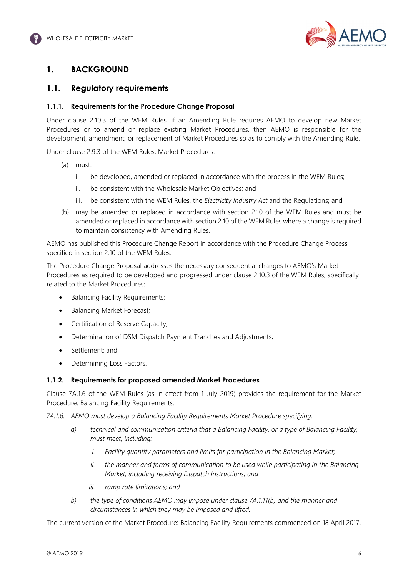

# <span id="page-6-0"></span>**1. BACKGROUND**

## <span id="page-6-1"></span>**1.1. Regulatory requirements**

#### **1.1.1. Requirements for the Procedure Change Proposal**

Under clause 2.10.3 of the WEM Rules, if an Amending Rule requires AEMO to develop new Market Procedures or to amend or replace existing Market Procedures, then AEMO is responsible for the development, amendment, or replacement of Market Procedures so as to comply with the Amending Rule.

Under clause 2.9.3 of the WEM Rules, Market Procedures:

- (a) must:
	- i. be developed, amended or replaced in accordance with the process in the WEM Rules;
	- ii. be consistent with the Wholesale Market Objectives; and
	- iii. be consistent with the WEM Rules, the *Electricity Industry Act* and the Regulations; and
- (b) may be amended or replaced in accordance with section 2.10 of the WEM Rules and must be amended or replaced in accordance with section 2.10 of the WEM Rules where a change is required to maintain consistency with Amending Rules.

AEMO has published this Procedure Change Report in accordance with the Procedure Change Process specified in section 2.10 of the WEM Rules.

The Procedure Change Proposal addresses the necessary consequential changes to AEMO's Market Procedures as required to be developed and progressed under clause 2.10.3 of the WEM Rules, specifically related to the Market Procedures:

- Balancing Facility Requirements;
- Balancing Market Forecast;
- Certification of Reserve Capacity;
- Determination of DSM Dispatch Payment Tranches and Adjustments;
- Settlement; and
- Determining Loss Factors.

#### **1.1.2. Requirements for proposed amended Market Procedures**

Clause 7A.1.6 of the WEM Rules (as in effect from 1 July 2019) provides the requirement for the Market Procedure: Balancing Facility Requirements:

*7A.1.6. AEMO must develop a Balancing Facility Requirements Market Procedure specifying:*

- *a) technical and communication criteria that a Balancing Facility, or a type of Balancing Facility, must meet, including:*
	- *i. Facility quantity parameters and limits for participation in the Balancing Market;*
	- *ii. the manner and forms of communication to be used while participating in the Balancing Market, including receiving Dispatch Instructions; and*
	- *iii. ramp rate limitations; and*
- *b) the type of conditions AEMO may impose under clause 7A.1.11(b) and the manner and circumstances in which they may be imposed and lifted.*

The current version of the Market Procedure: Balancing Facility Requirements commenced on 18 April 2017.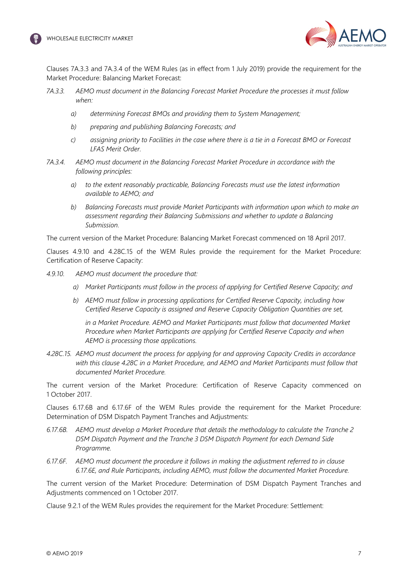



Clauses 7A.3.3 and 7A.3.4 of the WEM Rules (as in effect from 1 July 2019) provide the requirement for the Market Procedure: Balancing Market Forecast:

- *7A.3.3. AEMO must document in the Balancing Forecast Market Procedure the processes it must follow when:*
	- *a) determining Forecast BMOs and providing them to System Management;*
	- *b) preparing and publishing Balancing Forecasts; and*
	- *c) assigning priority to Facilities in the case where there is a tie in a Forecast BMO or Forecast LFAS Merit Order.*
- *7A.3.4. AEMO must document in the Balancing Forecast Market Procedure in accordance with the following principles:*
	- *a) to the extent reasonably practicable, Balancing Forecasts must use the latest information available to AEMO; and*
	- *b) Balancing Forecasts must provide Market Participants with information upon which to make an assessment regarding their Balancing Submissions and whether to update a Balancing Submission.*

The current version of the Market Procedure: Balancing Market Forecast commenced on 18 April 2017.

Clauses 4.9.10 and 4.28C.15 of the WEM Rules provide the requirement for the Market Procedure: Certification of Reserve Capacity:

- *4.9.10. AEMO must document the procedure that:*
	- *a) Market Participants must follow in the process of applying for Certified Reserve Capacity; and*
	- *b) AEMO must follow in processing applications for Certified Reserve Capacity, including how Certified Reserve Capacity is assigned and Reserve Capacity Obligation Quantities are set,*

*in a Market Procedure. AEMO and Market Participants must follow that documented Market Procedure when Market Participants are applying for Certified Reserve Capacity and when AEMO is processing those applications.*

*4.28C.15. AEMO must document the process for applying for and approving Capacity Credits in accordance with this clause 4.28C in a Market Procedure, and AEMO and Market Participants must follow that documented Market Procedure.*

The current version of the Market Procedure: Certification of Reserve Capacity commenced on 1 October 2017.

Clauses 6.17.6B and 6.17.6F of the WEM Rules provide the requirement for the Market Procedure: Determination of DSM Dispatch Payment Tranches and Adjustments:

- *6.17.6B. AEMO must develop a Market Procedure that details the methodology to calculate the Tranche 2 DSM Dispatch Payment and the Tranche 3 DSM Dispatch Payment for each Demand Side Programme.*
- *6.17.6F. AEMO must document the procedure it follows in making the adjustment referred to in clause 6.17.6E, and Rule Participants, including AEMO, must follow the documented Market Procedure.*

The current version of the Market Procedure: Determination of DSM Dispatch Payment Tranches and Adjustments commenced on 1 October 2017.

Clause 9.2.1 of the WEM Rules provides the requirement for the Market Procedure: Settlement: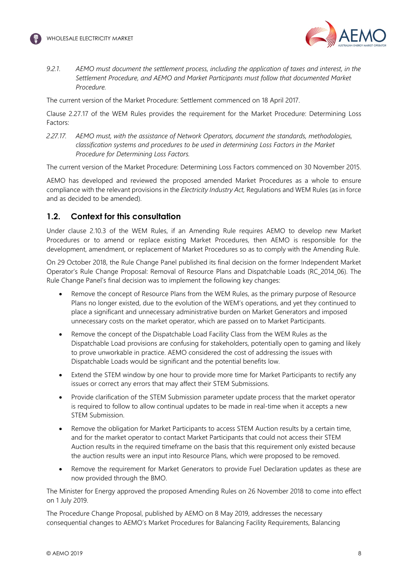



*9.2.1. AEMO must document the settlement process, including the application of taxes and interest, in the Settlement Procedure, and AEMO and Market Participants must follow that documented Market Procedure.*

The current version of the Market Procedure: Settlement commenced on 18 April 2017.

Clause 2.27.17 of the WEM Rules provides the requirement for the Market Procedure: Determining Loss Factors:

*2.27.17. AEMO must, with the assistance of Network Operators, document the standards, methodologies, classification systems and procedures to be used in determining Loss Factors in the Market Procedure for Determining Loss Factors.*

The current version of the Market Procedure: Determining Loss Factors commenced on 30 November 2015.

AEMO has developed and reviewed the proposed amended Market Procedures as a whole to ensure compliance with the relevant provisions in the *Electricity Industry Act,* Regulations and WEM Rules (as in force and as decided to be amended).

## <span id="page-8-0"></span>**1.2. Context for this consultation**

Under clause 2.10.3 of the WEM Rules, if an Amending Rule requires AEMO to develop new Market Procedures or to amend or replace existing Market Procedures, then AEMO is responsible for the development, amendment, or replacement of Market Procedures so as to comply with the Amending Rule.

On 29 October 2018, the Rule Change Panel published its final decision on the former Independent Market Operator's Rule Change Proposal: Removal of Resource Plans and Dispatchable Loads (RC\_2014\_06). The Rule Change Panel's final decision was to implement the following key changes:

- Remove the concept of Resource Plans from the WEM Rules, as the primary purpose of Resource Plans no longer existed, due to the evolution of the WEM's operations, and yet they continued to place a significant and unnecessary administrative burden on Market Generators and imposed unnecessary costs on the market operator, which are passed on to Market Participants.
- Remove the concept of the Dispatchable Load Facility Class from the WEM Rules as the Dispatchable Load provisions are confusing for stakeholders, potentially open to gaming and likely to prove unworkable in practice. AEMO considered the cost of addressing the issues with Dispatchable Loads would be significant and the potential benefits low.
- Extend the STEM window by one hour to provide more time for Market Participants to rectify any issues or correct any errors that may affect their STEM Submissions.
- Provide clarification of the STEM Submission parameter update process that the market operator is required to follow to allow continual updates to be made in real-time when it accepts a new STEM Submission.
- Remove the obligation for Market Participants to access STEM Auction results by a certain time, and for the market operator to contact Market Participants that could not access their STEM Auction results in the required timeframe on the basis that this requirement only existed because the auction results were an input into Resource Plans, which were proposed to be removed.
- Remove the requirement for Market Generators to provide Fuel Declaration updates as these are now provided through the BMO.

The Minister for Energy approved the proposed Amending Rules on 26 November 2018 to come into effect on 1 July 2019.

The Procedure Change Proposal, published by AEMO on 8 May 2019, addresses the necessary consequential changes to AEMO's Market Procedures for Balancing Facility Requirements, Balancing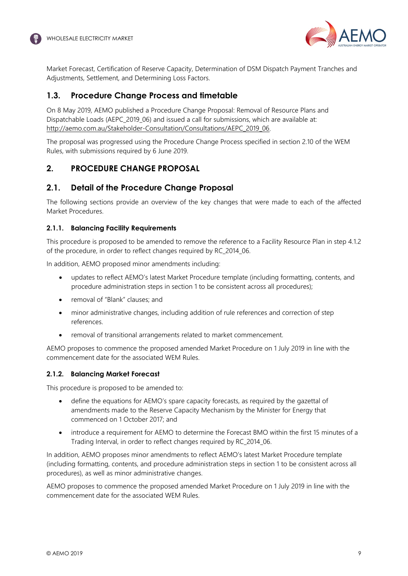

Market Forecast, Certification of Reserve Capacity, Determination of DSM Dispatch Payment Tranches and Adjustments, Settlement, and Determining Loss Factors.

## <span id="page-9-0"></span>**1.3. Procedure Change Process and timetable**

On 8 May 2019, AEMO published a Procedure Change Proposal: Removal of Resource Plans and Dispatchable Loads (AEPC 2019 06) and issued a call for submissions, which are available at: [http://aemo.com.au/Stakeholder-Consultation/Consultations/AEPC\\_2019\\_06.](http://aemo.com.au/Stakeholder-Consultation/Consultations/AEPC_2019_06)

The proposal was progressed using the Procedure Change Process specified in section 2.10 of the WEM Rules, with submissions required by 6 June 2019.

## <span id="page-9-1"></span>**2. PROCEDURE CHANGE PROPOSAL**

## <span id="page-9-2"></span>**2.1. Detail of the Procedure Change Proposal**

The following sections provide an overview of the key changes that were made to each of the affected Market Procedures.

#### **2.1.1. Balancing Facility Requirements**

This procedure is proposed to be amended to remove the reference to a Facility Resource Plan in step 4.1.2 of the procedure, in order to reflect changes required by RC\_2014\_06.

In addition, AEMO proposed minor amendments including:

- updates to reflect AEMO's latest Market Procedure template (including formatting, contents, and procedure administration steps in section 1 to be consistent across all procedures);
- removal of "Blank" clauses; and
- minor administrative changes, including addition of rule references and correction of step references.
- removal of transitional arrangements related to market commencement.

AEMO proposes to commence the proposed amended Market Procedure on 1 July 2019 in line with the commencement date for the associated WEM Rules.

#### **2.1.2. Balancing Market Forecast**

This procedure is proposed to be amended to:

- define the equations for AEMO's spare capacity forecasts, as required by the gazettal of amendments made to the Reserve Capacity Mechanism by the Minister for Energy that commenced on 1 October 2017; and
- introduce a requirement for AEMO to determine the Forecast BMO within the first 15 minutes of a Trading Interval, in order to reflect changes required by RC\_2014\_06.

In addition, AEMO proposes minor amendments to reflect AEMO's latest Market Procedure template (including formatting, contents, and procedure administration steps in section 1 to be consistent across all procedures), as well as minor administrative changes.

AEMO proposes to commence the proposed amended Market Procedure on 1 July 2019 in line with the commencement date for the associated WEM Rules.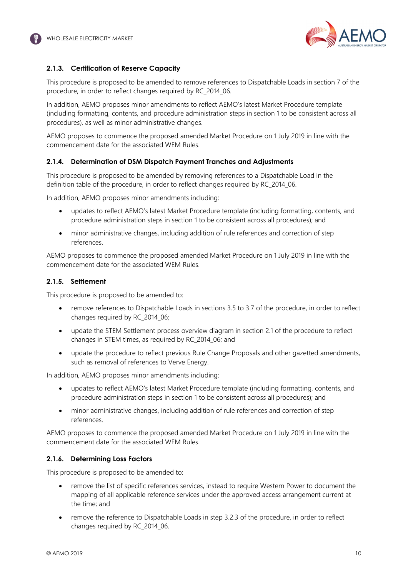

#### **2.1.3. Certification of Reserve Capacity**

This procedure is proposed to be amended to remove references to Dispatchable Loads in section 7 of the procedure, in order to reflect changes required by RC\_2014\_06.

In addition, AEMO proposes minor amendments to reflect AEMO's latest Market Procedure template (including formatting, contents, and procedure administration steps in section 1 to be consistent across all procedures), as well as minor administrative changes.

AEMO proposes to commence the proposed amended Market Procedure on 1 July 2019 in line with the commencement date for the associated WEM Rules.

#### **2.1.4. Determination of DSM Dispatch Payment Tranches and Adjustments**

This procedure is proposed to be amended by removing references to a Dispatchable Load in the definition table of the procedure, in order to reflect changes required by RC\_2014\_06.

In addition, AEMO proposes minor amendments including:

- updates to reflect AEMO's latest Market Procedure template (including formatting, contents, and procedure administration steps in section 1 to be consistent across all procedures); and
- minor administrative changes, including addition of rule references and correction of step references.

AEMO proposes to commence the proposed amended Market Procedure on 1 July 2019 in line with the commencement date for the associated WEM Rules.

#### **2.1.5. Settlement**

This procedure is proposed to be amended to:

- remove references to Dispatchable Loads in sections 3.5 to 3.7 of the procedure, in order to reflect changes required by RC\_2014\_06;
- update the STEM Settlement process overview diagram in section 2.1 of the procedure to reflect changes in STEM times, as required by RC\_2014\_06; and
- update the procedure to reflect previous Rule Change Proposals and other gazetted amendments, such as removal of references to Verve Energy.

In addition, AEMO proposes minor amendments including:

- updates to reflect AEMO's latest Market Procedure template (including formatting, contents, and procedure administration steps in section 1 to be consistent across all procedures); and
- minor administrative changes, including addition of rule references and correction of step references.

AEMO proposes to commence the proposed amended Market Procedure on 1 July 2019 in line with the commencement date for the associated WEM Rules.

#### **2.1.6. Determining Loss Factors**

This procedure is proposed to be amended to:

- remove the list of specific references services, instead to require Western Power to document the mapping of all applicable reference services under the approved access arrangement current at the time; and
- remove the reference to Dispatchable Loads in step 3.2.3 of the procedure, in order to reflect changes required by RC\_2014\_06.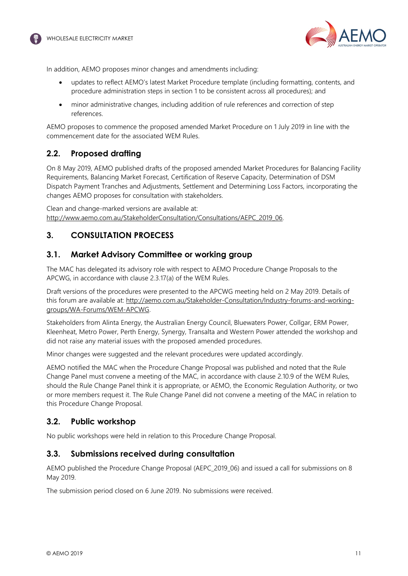



In addition, AEMO proposes minor changes and amendments including:

- updates to reflect AEMO's latest Market Procedure template (including formatting, contents, and procedure administration steps in section 1 to be consistent across all procedures); and
- minor administrative changes, including addition of rule references and correction of step references.

AEMO proposes to commence the proposed amended Market Procedure on 1 July 2019 in line with the commencement date for the associated WEM Rules.

## <span id="page-11-0"></span>**2.2. Proposed drafting**

On 8 May 2019, AEMO published drafts of the proposed amended Market Procedures for Balancing Facility Requirements, Balancing Market Forecast, Certification of Reserve Capacity, Determination of DSM Dispatch Payment Tranches and Adjustments, Settlement and Determining Loss Factors, incorporating the changes AEMO proposes for consultation with stakeholders.

Clean and change-marked versions are available at: [http://www.aemo.com.au/StakeholderConsultation/Consultations/AEPC\\_2019\\_06.](http://www.aemo.com.au/StakeholderConsultation/Consultations/AEPC_2019_06)

# <span id="page-11-1"></span>**3. CONSULTATION PROECESS**

## <span id="page-11-2"></span>**3.1. Market Advisory Committee or working group**

The MAC has delegated its advisory role with respect to AEMO Procedure Change Proposals to the APCWG, in accordance with clause 2.3.17(a) of the WEM Rules.

Draft versions of the procedures were presented to the APCWG meeting held on 2 May 2019. Details of this forum are available at: [http://aemo.com.au/Stakeholder-Consultation/Industry-forums-and-working](http://aemo.com.au/Stakeholder-Consultation/Industry-forums-and-working-groups/WA-Forums/WEM-APCWG)[groups/WA-Forums/WEM-APCWG.](http://aemo.com.au/Stakeholder-Consultation/Industry-forums-and-working-groups/WA-Forums/WEM-APCWG)

Stakeholders from Alinta Energy, the Australian Energy Council, Bluewaters Power, Collgar, ERM Power, Kleenheat, Metro Power, Perth Energy, Synergy, Transalta and Western Power attended the workshop and did not raise any material issues with the proposed amended procedures.

Minor changes were suggested and the relevant procedures were updated accordingly.

AEMO notified the MAC when the Procedure Change Proposal was published and noted that the Rule Change Panel must convene a meeting of the MAC, in accordance with clause 2.10.9 of the WEM Rules, should the Rule Change Panel think it is appropriate, or AEMO, the Economic Regulation Authority, or two or more members request it. The Rule Change Panel did not convene a meeting of the MAC in relation to this Procedure Change Proposal.

## <span id="page-11-3"></span>**3.2. Public workshop**

No public workshops were held in relation to this Procedure Change Proposal.

#### <span id="page-11-4"></span>**3.3. Submissions received during consultation**

AEMO published the Procedure Change Proposal (AEPC 2019 06) and issued a call for submissions on 8 May 2019.

The submission period closed on 6 June 2019. No submissions were received.